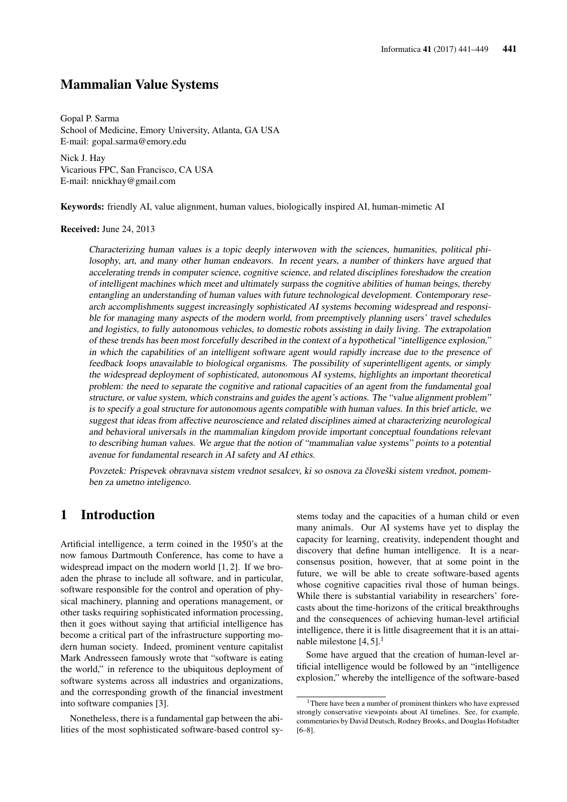### Mammalian Value Systems

Gopal P. Sarma School of Medicine, Emory University, Atlanta, GA USA E-mail: gopal.sarma@emory.edu

Nick J. Hay Vicarious FPC, San Francisco, CA USA E-mail: nnickhay@gmail.com

Keywords: friendly AI, value alignment, human values, biologically inspired AI, human-mimetic AI

#### Received: June 24, 2013

Characterizing human values is a topic deeply interwoven with the sciences, humanities, political philosophy, art, and many other human endeavors. In recent years, a number of thinkers have argued that accelerating trends in computer science, cognitive science, and related disciplines foreshadow the creation of intelligent machines which meet and ultimately surpass the cognitive abilities of human beings, thereby entangling an understanding of human values with future technological development. Contemporary research accomplishments suggest increasingly sophisticated AI systems becoming widespread and responsible for managing many aspects of the modern world, from preemptively planning users' travel schedules and logistics, to fully autonomous vehicles, to domestic robots assisting in daily living. The extrapolation of these trends has been most forcefully described in the context of a hypothetical "intelligence explosion," in which the capabilities of an intelligent software agent would rapidly increase due to the presence of feedback loops unavailable to biological organisms. The possibility of superintelligent agents, or simply the widespread deployment of sophisticated, autonomous AI systems, highlights an important theoretical problem: the need to separate the cognitive and rational capacities of an agent from the fundamental goal structure, or value system, which constrains and guides the agent's actions. The "value alignment problem" is to specify a goal structure for autonomous agents compatible with human values. In this brief article, we suggest that ideas from affective neuroscience and related disciplines aimed at characterizing neurological and behavioral universals in the mammalian kingdom provide important conceptual foundations relevant to describing human values. We argue that the notion of "mammalian value systems" points to a potential avenue for fundamental research in AI safety and AI ethics.

Povzetek: Prispevek obravnava sistem vrednot sesalcev, ki so osnova za človeški sistem vrednot, pomemben za umetno inteligenco.

### 1 Introduction

Artificial intelligence, a term coined in the 1950's at the now famous Dartmouth Conference, has come to have a widespread impact on the modern world [1, 2]. If we broaden the phrase to include all software, and in particular, software responsible for the control and operation of physical machinery, planning and operations management, or other tasks requiring sophisticated information processing, then it goes without saying that artificial intelligence has become a critical part of the infrastructure supporting modern human society. Indeed, prominent venture capitalist Mark Andresseen famously wrote that "software is eating the world," in reference to the ubiquitous deployment of software systems across all industries and organizations, and the corresponding growth of the financial investment into software companies [3].

Nonetheless, there is a fundamental gap between the abilities of the most sophisticated software-based control systems today and the capacities of a human child or even many animals. Our AI systems have yet to display the capacity for learning, creativity, independent thought and discovery that define human intelligence. It is a nearconsensus position, however, that at some point in the future, we will be able to create software-based agents whose cognitive capacities rival those of human beings. While there is substantial variability in researchers' forecasts about the time-horizons of the critical breakthroughs and the consequences of achieving human-level artificial intelligence, there it is little disagreement that it is an attainable milestone  $[4, 5]$ .<sup>1</sup>

Some have argued that the creation of human-level artificial intelligence would be followed by an "intelligence explosion," whereby the intelligence of the software-based

<sup>&</sup>lt;sup>1</sup>There have been a number of prominent thinkers who have expressed strongly conservative viewpoints about AI timelines. See, for example, commentaries by David Deutsch, Rodney Brooks, and Douglas Hofstadter [6–8].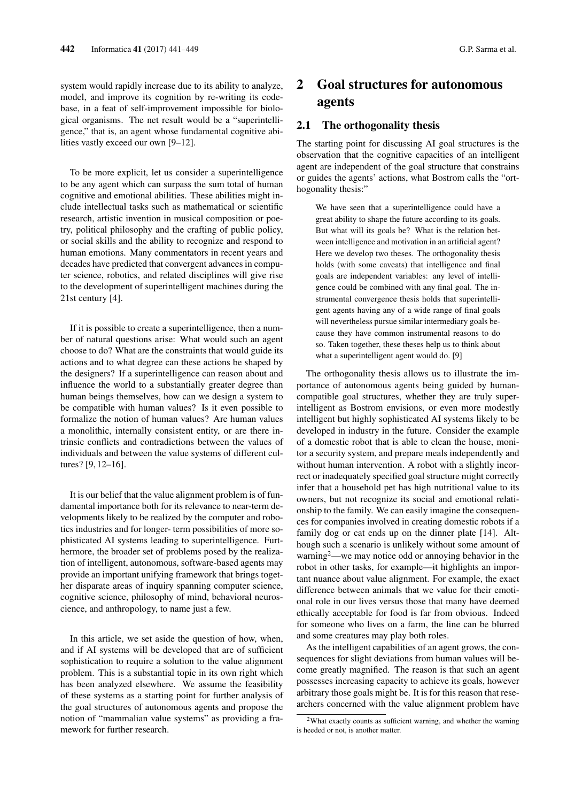system would rapidly increase due to its ability to analyze, model, and improve its cognition by re-writing its codebase, in a feat of self-improvement impossible for biological organisms. The net result would be a "superintelligence," that is, an agent whose fundamental cognitive abilities vastly exceed our own [9–12].

To be more explicit, let us consider a superintelligence to be any agent which can surpass the sum total of human cognitive and emotional abilities. These abilities might include intellectual tasks such as mathematical or scientific research, artistic invention in musical composition or poetry, political philosophy and the crafting of public policy, or social skills and the ability to recognize and respond to human emotions. Many commentators in recent years and decades have predicted that convergent advances in computer science, robotics, and related disciplines will give rise to the development of superintelligent machines during the 21st century [4].

If it is possible to create a superintelligence, then a number of natural questions arise: What would such an agent choose to do? What are the constraints that would guide its actions and to what degree can these actions be shaped by the designers? If a superintelligence can reason about and influence the world to a substantially greater degree than human beings themselves, how can we design a system to be compatible with human values? Is it even possible to formalize the notion of human values? Are human values a monolithic, internally consistent entity, or are there intrinsic conflicts and contradictions between the values of individuals and between the value systems of different cultures? [9, 12–16].

It is our belief that the value alignment problem is of fundamental importance both for its relevance to near-term developments likely to be realized by the computer and robotics industries and for longer- term possibilities of more sophisticated AI systems leading to superintelligence. Furthermore, the broader set of problems posed by the realization of intelligent, autonomous, software-based agents may provide an important unifying framework that brings together disparate areas of inquiry spanning computer science, cognitive science, philosophy of mind, behavioral neuroscience, and anthropology, to name just a few.

In this article, we set aside the question of how, when, and if AI systems will be developed that are of sufficient sophistication to require a solution to the value alignment problem. This is a substantial topic in its own right which has been analyzed elsewhere. We assume the feasibility of these systems as a starting point for further analysis of the goal structures of autonomous agents and propose the notion of "mammalian value systems" as providing a framework for further research.

# 2 Goal structures for autonomous agents

### 2.1 The orthogonality thesis

The starting point for discussing AI goal structures is the observation that the cognitive capacities of an intelligent agent are independent of the goal structure that constrains or guides the agents' actions, what Bostrom calls the "orthogonality thesis:"

We have seen that a superintelligence could have a great ability to shape the future according to its goals. But what will its goals be? What is the relation between intelligence and motivation in an artificial agent? Here we develop two theses. The orthogonality thesis holds (with some caveats) that intelligence and final goals are independent variables: any level of intelligence could be combined with any final goal. The instrumental convergence thesis holds that superintelligent agents having any of a wide range of final goals will nevertheless pursue similar intermediary goals because they have common instrumental reasons to do so. Taken together, these theses help us to think about what a superintelligent agent would do. [9]

The orthogonality thesis allows us to illustrate the importance of autonomous agents being guided by humancompatible goal structures, whether they are truly superintelligent as Bostrom envisions, or even more modestly intelligent but highly sophisticated AI systems likely to be developed in industry in the future. Consider the example of a domestic robot that is able to clean the house, monitor a security system, and prepare meals independently and without human intervention. A robot with a slightly incorrect or inadequately specified goal structure might correctly infer that a household pet has high nutritional value to its owners, but not recognize its social and emotional relationship to the family. We can easily imagine the consequences for companies involved in creating domestic robots if a family dog or cat ends up on the dinner plate [14]. Although such a scenario is unlikely without some amount of warning<sup>2</sup>—we may notice odd or annoying behavior in the robot in other tasks, for example—it highlights an important nuance about value alignment. For example, the exact difference between animals that we value for their emotional role in our lives versus those that many have deemed ethically acceptable for food is far from obvious. Indeed for someone who lives on a farm, the line can be blurred and some creatures may play both roles.

As the intelligent capabilities of an agent grows, the consequences for slight deviations from human values will become greatly magnified. The reason is that such an agent possesses increasing capacity to achieve its goals, however arbitrary those goals might be. It is for this reason that researchers concerned with the value alignment problem have

<sup>&</sup>lt;sup>2</sup>What exactly counts as sufficient warning, and whether the warning is heeded or not, is another matter.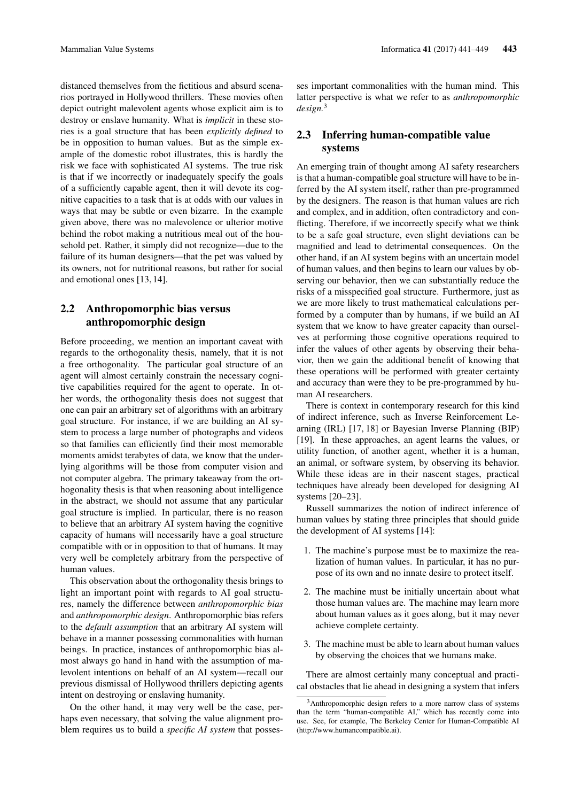distanced themselves from the fictitious and absurd scenarios portrayed in Hollywood thrillers. These movies often depict outright malevolent agents whose explicit aim is to destroy or enslave humanity. What is *implicit* in these stories is a goal structure that has been *explicitly defined* to be in opposition to human values. But as the simple example of the domestic robot illustrates, this is hardly the risk we face with sophisticated AI systems. The true risk is that if we incorrectly or inadequately specify the goals of a sufficiently capable agent, then it will devote its cognitive capacities to a task that is at odds with our values in ways that may be subtle or even bizarre. In the example given above, there was no malevolence or ulterior motive behind the robot making a nutritious meal out of the household pet. Rather, it simply did not recognize—due to the failure of its human designers—that the pet was valued by its owners, not for nutritional reasons, but rather for social and emotional ones [13, 14].

### 2.2 Anthropomorphic bias versus anthropomorphic design

Before proceeding, we mention an important caveat with regards to the orthogonality thesis, namely, that it is not a free orthogonality. The particular goal structure of an agent will almost certainly constrain the necessary cognitive capabilities required for the agent to operate. In other words, the orthogonality thesis does not suggest that one can pair an arbitrary set of algorithms with an arbitrary goal structure. For instance, if we are building an AI system to process a large number of photographs and videos so that families can efficiently find their most memorable moments amidst terabytes of data, we know that the underlying algorithms will be those from computer vision and not computer algebra. The primary takeaway from the orthogonality thesis is that when reasoning about intelligence in the abstract, we should not assume that any particular goal structure is implied. In particular, there is no reason to believe that an arbitrary AI system having the cognitive capacity of humans will necessarily have a goal structure compatible with or in opposition to that of humans. It may very well be completely arbitrary from the perspective of human values.

This observation about the orthogonality thesis brings to light an important point with regards to AI goal structures, namely the difference between *anthropomorphic bias* and *anthropomorphic design*. Anthropomorphic bias refers to the *default assumption* that an arbitrary AI system will behave in a manner possessing commonalities with human beings. In practice, instances of anthropomorphic bias almost always go hand in hand with the assumption of malevolent intentions on behalf of an AI system—recall our previous dismissal of Hollywood thrillers depicting agents intent on destroying or enslaving humanity.

On the other hand, it may very well be the case, perhaps even necessary, that solving the value alignment problem requires us to build a *specific AI system* that possesses important commonalities with the human mind. This latter perspective is what we refer to as *anthropomorphic design.*<sup>3</sup>

### 2.3 Inferring human-compatible value systems

An emerging train of thought among AI safety researchers is that a human-compatible goal structure will have to be inferred by the AI system itself, rather than pre-programmed by the designers. The reason is that human values are rich and complex, and in addition, often contradictory and conflicting. Therefore, if we incorrectly specify what we think to be a safe goal structure, even slight deviations can be magnified and lead to detrimental consequences. On the other hand, if an AI system begins with an uncertain model of human values, and then begins to learn our values by observing our behavior, then we can substantially reduce the risks of a misspecified goal structure. Furthermore, just as we are more likely to trust mathematical calculations performed by a computer than by humans, if we build an AI system that we know to have greater capacity than ourselves at performing those cognitive operations required to infer the values of other agents by observing their behavior, then we gain the additional benefit of knowing that these operations will be performed with greater certainty and accuracy than were they to be pre-programmed by human AI researchers.

There is context in contemporary research for this kind of indirect inference, such as Inverse Reinforcement Learning (IRL) [17, 18] or Bayesian Inverse Planning (BIP) [19]. In these approaches, an agent learns the values, or utility function, of another agent, whether it is a human, an animal, or software system, by observing its behavior. While these ideas are in their nascent stages, practical techniques have already been developed for designing AI systems [20–23].

Russell summarizes the notion of indirect inference of human values by stating three principles that should guide the development of AI systems [14]:

- 1. The machine's purpose must be to maximize the realization of human values. In particular, it has no purpose of its own and no innate desire to protect itself.
- 2. The machine must be initially uncertain about what those human values are. The machine may learn more about human values as it goes along, but it may never achieve complete certainty.
- 3. The machine must be able to learn about human values by observing the choices that we humans make.

There are almost certainly many conceptual and practical obstacles that lie ahead in designing a system that infers

<sup>&</sup>lt;sup>3</sup>Anthropomorphic design refers to a more narrow class of systems than the term "human-compatible AI," which has recently come into use. See, for example, The Berkeley Center for Human-Compatible AI (http://www.humancompatible.ai).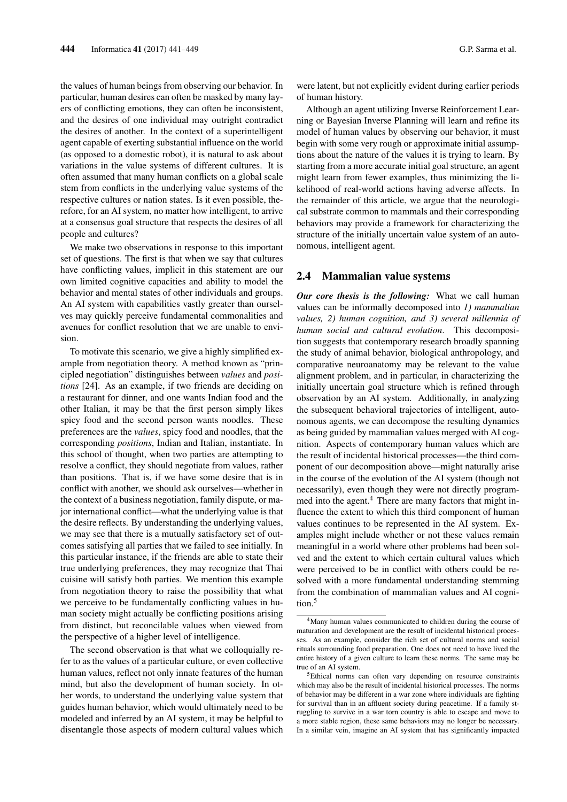the values of human beings from observing our behavior. In particular, human desires can often be masked by many layers of conflicting emotions, they can often be inconsistent, and the desires of one individual may outright contradict the desires of another. In the context of a superintelligent agent capable of exerting substantial influence on the world (as opposed to a domestic robot), it is natural to ask about variations in the value systems of different cultures. It is often assumed that many human conflicts on a global scale stem from conflicts in the underlying value systems of the respective cultures or nation states. Is it even possible, therefore, for an AI system, no matter how intelligent, to arrive at a consensus goal structure that respects the desires of all people and cultures?

We make two observations in response to this important set of questions. The first is that when we say that cultures have conflicting values, implicit in this statement are our own limited cognitive capacities and ability to model the behavior and mental states of other individuals and groups. An AI system with capabilities vastly greater than ourselves may quickly perceive fundamental commonalities and avenues for conflict resolution that we are unable to envision.

To motivate this scenario, we give a highly simplified example from negotiation theory. A method known as "principled negotiation" distinguishes between *values* and *positions* [24]. As an example, if two friends are deciding on a restaurant for dinner, and one wants Indian food and the other Italian, it may be that the first person simply likes spicy food and the second person wants noodles. These preferences are the *values*, spicy food and noodles, that the corresponding *positions*, Indian and Italian, instantiate. In this school of thought, when two parties are attempting to resolve a conflict, they should negotiate from values, rather than positions. That is, if we have some desire that is in conflict with another, we should ask ourselves—whether in the context of a business negotiation, family dispute, or major international conflict—what the underlying value is that the desire reflects. By understanding the underlying values, we may see that there is a mutually satisfactory set of outcomes satisfying all parties that we failed to see initially. In this particular instance, if the friends are able to state their true underlying preferences, they may recognize that Thai cuisine will satisfy both parties. We mention this example from negotiation theory to raise the possibility that what we perceive to be fundamentally conflicting values in human society might actually be conflicting positions arising from distinct, but reconcilable values when viewed from the perspective of a higher level of intelligence.

The second observation is that what we colloquially refer to as the values of a particular culture, or even collective human values, reflect not only innate features of the human mind, but also the development of human society. In other words, to understand the underlying value system that guides human behavior, which would ultimately need to be modeled and inferred by an AI system, it may be helpful to disentangle those aspects of modern cultural values which were latent, but not explicitly evident during earlier periods of human history.

Although an agent utilizing Inverse Reinforcement Learning or Bayesian Inverse Planning will learn and refine its model of human values by observing our behavior, it must begin with some very rough or approximate initial assumptions about the nature of the values it is trying to learn. By starting from a more accurate initial goal structure, an agent might learn from fewer examples, thus minimizing the likelihood of real-world actions having adverse affects. In the remainder of this article, we argue that the neurological substrate common to mammals and their corresponding behaviors may provide a framework for characterizing the structure of the initially uncertain value system of an autonomous, intelligent agent.

#### 2.4 Mammalian value systems

*Our core thesis is the following:* What we call human values can be informally decomposed into *1) mammalian values, 2) human cognition, and 3) several millennia of human social and cultural evolution*. This decomposition suggests that contemporary research broadly spanning the study of animal behavior, biological anthropology, and comparative neuroanatomy may be relevant to the value alignment problem, and in particular, in characterizing the initially uncertain goal structure which is refined through observation by an AI system. Additionally, in analyzing the subsequent behavioral trajectories of intelligent, autonomous agents, we can decompose the resulting dynamics as being guided by mammalian values merged with AI cognition. Aspects of contemporary human values which are the result of incidental historical processes—the third component of our decomposition above—might naturally arise in the course of the evolution of the AI system (though not necessarily), even though they were not directly programmed into the agent.<sup>4</sup> There are many factors that might influence the extent to which this third component of human values continues to be represented in the AI system. Examples might include whether or not these values remain meaningful in a world where other problems had been solved and the extent to which certain cultural values which were perceived to be in conflict with others could be resolved with a more fundamental understanding stemming from the combination of mammalian values and AI cognition.<sup>5</sup>

<sup>&</sup>lt;sup>4</sup>Many human values communicated to children during the course of maturation and development are the result of incidental historical processes. As an example, consider the rich set of cultural norms and social rituals surrounding food preparation. One does not need to have lived the entire history of a given culture to learn these norms. The same may be true of an AI system.

<sup>&</sup>lt;sup>5</sup>Ethical norms can often vary depending on resource constraints which may also be the result of incidental historical processes. The norms of behavior may be different in a war zone where individuals are fighting for survival than in an affluent society during peacetime. If a family struggling to survive in a war torn country is able to escape and move to a more stable region, these same behaviors may no longer be necessary. In a similar vein, imagine an AI system that has significantly impacted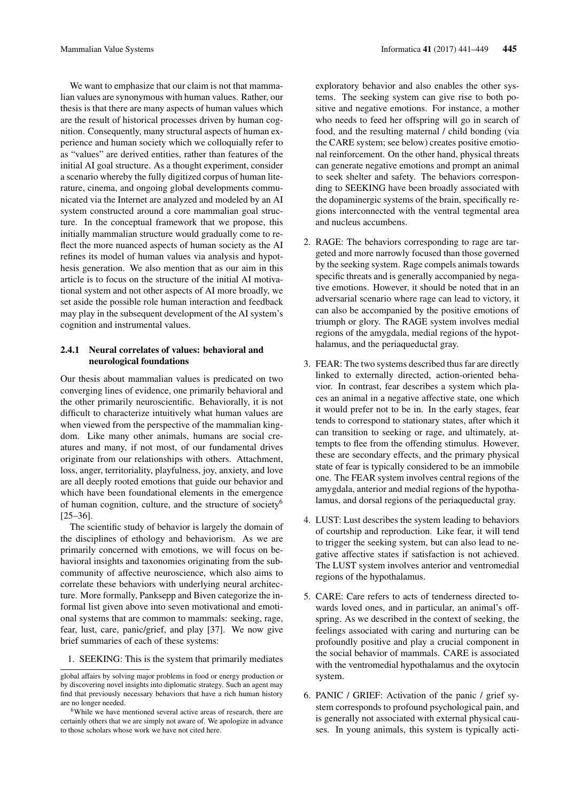We want to emphasize that our claim is not that mammalian values are synonymous with human values. Rather, our thesis is that there are many aspects of human values which are the result of historical processes driven by human cognition. Consequently, many structural aspects of human experience and human society which we colloquially refer to as "values" are derived entities, rather than features of the initial AI goal structure. As a thought experiment, consider a scenario whereby the fully digitized corpus of human literature, cinema, and ongoing global developments communicated via the Internet are analyzed and modeled by an AI system constructed around a core mammalian goal structure. In the conceptual framework that we propose, this initially mammalian structure would gradually come to reflect the more nuanced aspects of human society as the AI refines its model of human values via analysis and hypothesis generation. We also mention that as our aim in this article is to focus on the structure of the initial AI motivational system and not other aspects of AI more broadly, we set aside the possible role human interaction and feedback may play in the subsequent development of the AI system's cognition and instrumental values.

### 2.4.1 Neural correlates of values: behavioral and neurological foundations

Our thesis about mammalian values is predicated on two converging lines of evidence, one primarily behavioral and the other primarily neuroscientific. Behaviorally, it is not difficult to characterize intuitively what human values are when viewed from the perspective of the mammalian kingdom. Like many other animals, humans are social creatures and many, if not most, of our fundamental drives originate from our relationships with others. Attachment, loss, anger, territoriality, playfulness, joy, anxiety, and love are all deeply rooted emotions that guide our behavior and which have been foundational elements in the emergence of human cognition, culture, and the structure of society<sup>6</sup> [25–36].

The scientific study of behavior is largely the domain of the disciplines of ethology and behaviorism. As we are primarily concerned with emotions, we will focus on behavioral insights and taxonomies originating from the subcommunity of affective neuroscience, which also aims to correlate these behaviors with underlying neural architecture. More formally, Panksepp and Biven categorize the informal list given above into seven motivational and emotional systems that are common to mammals: seeking, rage, fear, lust, care, panic/grief, and play [37]. We now give brief summaries of each of these systems:

1. SEEKING: This is the system that primarily mediates

exploratory behavior and also enables the other systems. The seeking system can give rise to both positive and negative emotions. For instance, a mother who needs to feed her offspring will go in search of food, and the resulting maternal / child bonding (via the CARE system; see below) creates positive emotional reinforcement. On the other hand, physical threats can generate negative emotions and prompt an animal to seek shelter and safety. The behaviors corresponding to SEEKING have been broadly associated with the dopaminergic systems of the brain, specifically regions interconnected with the ventral tegmental area and nucleus accumbens.

- 2. RAGE: The behaviors corresponding to rage are targeted and more narrowly focused than those governed by the seeking system. Rage compels animals towards specific threats and is generally accompanied by negative emotions. However, it should be noted that in an adversarial scenario where rage can lead to victory, it can also be accompanied by the positive emotions of triumph or glory. The RAGE system involves medial regions of the amygdala, medial regions of the hypothalamus, and the periaqueductal gray.
- 3. FEAR: The two systems described thus far are directly linked to externally directed, action-oriented behavior. In contrast, fear describes a system which places an animal in a negative affective state, one which it would prefer not to be in. In the early stages, fear tends to correspond to stationary states, after which it can transition to seeking or rage, and ultimately, attempts to flee from the offending stimulus. However, these are secondary effects, and the primary physical state of fear is typically considered to be an immobile one. The FEAR system involves central regions of the amygdala, anterior and medial regions of the hypothalamus, and dorsal regions of the periaqueductal gray.
- 4. LUST: Lust describes the system leading to behaviors of courtship and reproduction. Like fear, it will tend to trigger the seeking system, but can also lead to negative affective states if satisfaction is not achieved. The LUST system involves anterior and ventromedial regions of the hypothalamus.
- 5. CARE: Care refers to acts of tenderness directed towards loved ones, and in particular, an animal's offspring. As we described in the context of seeking, the feelings associated with caring and nurturing can be profoundly positive and play a crucial component in the social behavior of mammals. CARE is associated with the ventromedial hypothalamus and the oxytocin system.
- 6. PANIC / GRIEF: Activation of the panic / grief system corresponds to profound psychological pain, and is generally not associated with external physical causes. In young animals, this system is typically acti-

global affairs by solving major problems in food or energy production or by discovering novel insights into diplomatic strategy. Such an agent may find that previously necessary behaviors that have a rich human history are no longer needed.

<sup>&</sup>lt;sup>6</sup>While we have mentioned several active areas of research, there are certainly others that we are simply not aware of. We apologize in advance to those scholars whose work we have not cited here.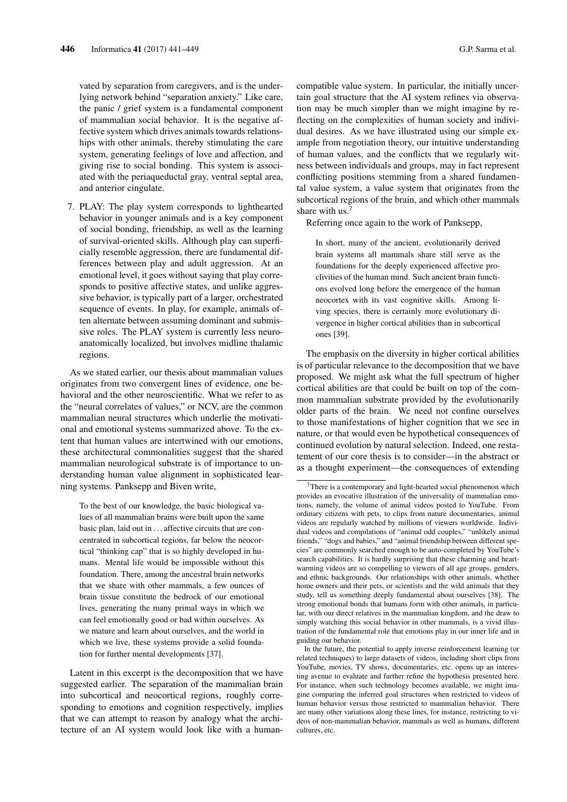vated by separation from caregivers, and is the underlying network behind "separation anxiety." Like care, the panic / grief system is a fundamental component of mammalian social behavior. It is the negative affective system which drives animals towards relationships with other animals, thereby stimulating the care system, generating feelings of love and affection, and giving rise to social bonding. This system is associated with the periaqueductal gray, ventral septal area, and anterior cingulate.

7. PLAY: The play system corresponds to lighthearted behavior in younger animals and is a key component of social bonding, friendship, as well as the learning of survival-oriented skills. Although play can superficially resemble aggression, there are fundamental differences between play and adult aggression. At an emotional level, it goes without saying that play corresponds to positive affective states, and unlike aggressive behavior, is typically part of a larger, orchestrated sequence of events. In play, for example, animals often alternate between assuming dominant and submissive roles. The PLAY system is currently less neuroanatomically localized, but involves midline thalamic regions.

As we stated earlier, our thesis about mammalian values originates from two convergent lines of evidence, one behavioral and the other neuroscientific. What we refer to as the "neural correlates of values," or NCV, are the common mammalian neural structures which underlie the motivational and emotional systems summarized above. To the extent that human values are intertwined with our emotions, these architectural commonalities suggest that the shared mammalian neurological substrate is of importance to understanding human value alignment in sophisticated learning systems. Panksepp and Biven write,

To the best of our knowledge, the basic biological values of all mammalian brains were built upon the same basic plan, laid out in . . . affective circuits that are concentrated in subcortical regions, far below the neocortical "thinking cap" that is so highly developed in humans. Mental life would be impossible without this foundation. There, among the ancestral brain networks that we share with other mammals, a few ounces of brain tissue constitute the bedrock of our emotional lives, generating the many primal ways in which we can feel emotionally good or bad within ourselves. As we mature and learn about ourselves, and the world in which we live, these systems provide a solid foundation for further mental developments [37].

Latent in this excerpt is the decomposition that we have suggested earlier. The separation of the mammalian brain into subcortical and neocortical regions, roughly corresponding to emotions and cognition respectively, implies that we can attempt to reason by analogy what the architecture of an AI system would look like with a humancompatible value system. In particular, the initially uncertain goal structure that the AI system refines via observation may be much simpler than we might imagine by reflecting on the complexities of human society and individual desires. As we have illustrated using our simple example from negotiation theory, our intuitive understanding of human values, and the conflicts that we regularly witness between individuals and groups, may in fact represent conflicting positions stemming from a shared fundamental value system, a value system that originates from the subcortical regions of the brain, and which other mammals share with us.<sup>7</sup>

Referring once again to the work of Panksepp,

In short, many of the ancient, evolutionarily derived brain systems all mammals share still serve as the foundations for the deeply experienced affective proclivities of the human mind. Such ancient brain functions evolved long before the emergence of the human neocortex with its vast cognitive skills. Among living species, there is certainly more evolutionary divergence in higher cortical abilities than in subcortical ones [39].

The emphasis on the diversity in higher cortical abilities is of particular relevance to the decomposition that we have proposed. We might ask what the full spectrum of higher cortical abilities are that could be built on top of the common mammalian substrate provided by the evolutionarily older parts of the brain. We need not confine ourselves to those manifestations of higher cognition that we see in nature, or that would even be hypothetical consequences of continued evolution by natural selection. Indeed, one restatement of our core thesis is to consider—in the abstract or as a thought experiment—the consequences of extending

 $7$ There is a contemporary and light-hearted social phenomenon which provides an evocative illustration of the universality of mammalian emotions, namely, the volume of animal videos posted to YouTube. From ordinary citizens with pets, to clips from nature documentaries, animal videos are regularly watched by millions of viewers worldwide. Individual videos and compilations of "animal odd couples," "unlikely animal friends," "dogs and babies," and "animal friendship between different species" are commonly searched enough to be auto-completed by YouTube's search capabilities. It is hardly surprising that these charming and heartwarming videos are so compelling to viewers of all age groups, genders, and ethnic backgrounds. Our relationships with other animals, whether home owners and their pets, or scientists and the wild animals that they study, tell us something deeply fundamental about ourselves [38]. The strong emotional bonds that humans form with other animals, in particular, with our direct relatives in the mammalian kingdom, and the draw to simply watching this social behavior in other mammals, is a vivid illustration of the fundamental role that emotions play in our inner life and in guiding our behavior.

In the future, the potential to apply inverse reinforcement learning (or related techniques) to large datasets of videos, including short clips from YouTube, movies, TV shows, documentaries, etc. opens up an interesting avenue to evaluate and further refine the hypothesis presented here. For instance, when such technology becomes available, we might imagine comparing the inferred goal structures when restricted to videos of human behavior versus those restricted to mammalian behavior. There are many other variations along these lines, for instance, restricting to videos of non-mammalian behavior, mammals as well as humans, different cultures, etc.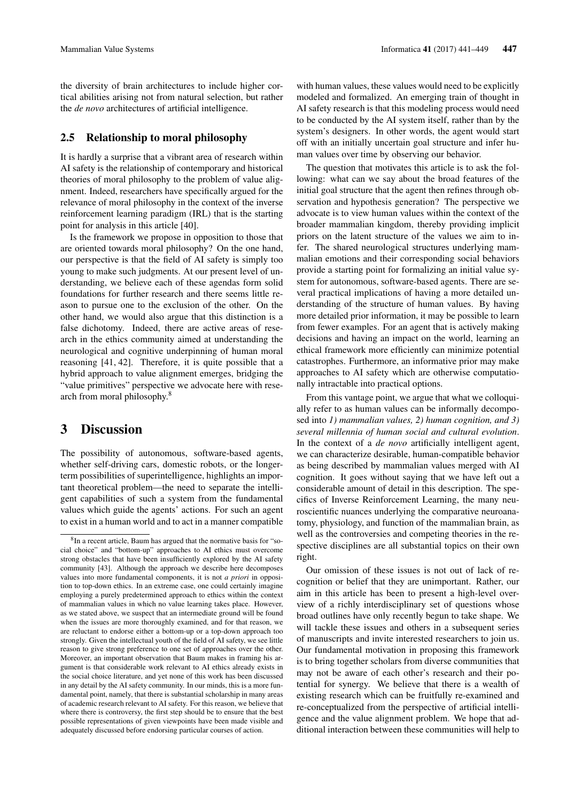the diversity of brain architectures to include higher cortical abilities arising not from natural selection, but rather the *de novo* architectures of artificial intelligence.

### 2.5 Relationship to moral philosophy

It is hardly a surprise that a vibrant area of research within AI safety is the relationship of contemporary and historical theories of moral philosophy to the problem of value alignment. Indeed, researchers have specifically argued for the relevance of moral philosophy in the context of the inverse reinforcement learning paradigm (IRL) that is the starting point for analysis in this article [40].

Is the framework we propose in opposition to those that are oriented towards moral philosophy? On the one hand, our perspective is that the field of AI safety is simply too young to make such judgments. At our present level of understanding, we believe each of these agendas form solid foundations for further research and there seems little reason to pursue one to the exclusion of the other. On the other hand, we would also argue that this distinction is a false dichotomy. Indeed, there are active areas of research in the ethics community aimed at understanding the neurological and cognitive underpinning of human moral reasoning [41, 42]. Therefore, it is quite possible that a hybrid approach to value alignment emerges, bridging the "value primitives" perspective we advocate here with research from moral philosophy.<sup>8</sup>

### 3 Discussion

The possibility of autonomous, software-based agents, whether self-driving cars, domestic robots, or the longerterm possibilities of superintelligence, highlights an important theoretical problem—the need to separate the intelligent capabilities of such a system from the fundamental values which guide the agents' actions. For such an agent to exist in a human world and to act in a manner compatible with human values, these values would need to be explicitly modeled and formalized. An emerging train of thought in AI safety research is that this modeling process would need to be conducted by the AI system itself, rather than by the system's designers. In other words, the agent would start off with an initially uncertain goal structure and infer human values over time by observing our behavior.

The question that motivates this article is to ask the following: what can we say about the broad features of the initial goal structure that the agent then refines through observation and hypothesis generation? The perspective we advocate is to view human values within the context of the broader mammalian kingdom, thereby providing implicit priors on the latent structure of the values we aim to infer. The shared neurological structures underlying mammalian emotions and their corresponding social behaviors provide a starting point for formalizing an initial value system for autonomous, software-based agents. There are several practical implications of having a more detailed understanding of the structure of human values. By having more detailed prior information, it may be possible to learn from fewer examples. For an agent that is actively making decisions and having an impact on the world, learning an ethical framework more efficiently can minimize potential catastrophes. Furthermore, an informative prior may make approaches to AI safety which are otherwise computationally intractable into practical options.

From this vantage point, we argue that what we colloquially refer to as human values can be informally decomposed into *1) mammalian values, 2) human cognition, and 3) several millennia of human social and cultural evolution*. In the context of a *de novo* artificially intelligent agent, we can characterize desirable, human-compatible behavior as being described by mammalian values merged with AI cognition. It goes without saying that we have left out a considerable amount of detail in this description. The specifics of Inverse Reinforcement Learning, the many neuroscientific nuances underlying the comparative neuroanatomy, physiology, and function of the mammalian brain, as well as the controversies and competing theories in the respective disciplines are all substantial topics on their own right.

Our omission of these issues is not out of lack of recognition or belief that they are unimportant. Rather, our aim in this article has been to present a high-level overview of a richly interdisciplinary set of questions whose broad outlines have only recently begun to take shape. We will tackle these issues and others in a subsequent series of manuscripts and invite interested researchers to join us. Our fundamental motivation in proposing this framework is to bring together scholars from diverse communities that may not be aware of each other's research and their potential for synergy. We believe that there is a wealth of existing research which can be fruitfully re-examined and re-conceptualized from the perspective of artificial intelligence and the value alignment problem. We hope that additional interaction between these communities will help to

<sup>8</sup> In a recent article, Baum has argued that the normative basis for "social choice" and "bottom-up" approaches to AI ethics must overcome strong obstacles that have been insufficiently explored by the AI safety community [43]. Although the approach we describe here decomposes values into more fundamental components, it is not *a priori* in opposition to top-down ethics. In an extreme case, one could certainly imagine employing a purely predetermined approach to ethics within the context of mammalian values in which no value learning takes place. However, as we stated above, we suspect that an intermediate ground will be found when the issues are more thoroughly examined, and for that reason, we are reluctant to endorse either a bottom-up or a top-down approach too strongly. Given the intellectual youth of the field of AI safety, we see little reason to give strong preference to one set of approaches over the other. Moreover, an important observation that Baum makes in framing his argument is that considerable work relevant to AI ethics already exists in the social choice literature, and yet none of this work has been discussed in any detail by the AI safety community. In our minds, this is a more fundamental point, namely, that there is substantial scholarship in many areas of academic research relevant to AI safety. For this reason, we believe that where there is controversy, the first step should be to ensure that the best possible representations of given viewpoints have been made visible and adequately discussed before endorsing particular courses of action.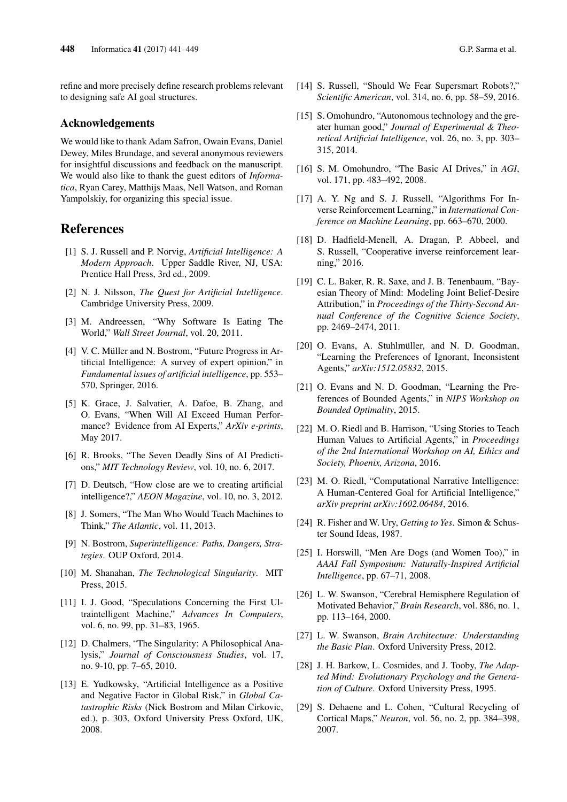refine and more precisely define research problems relevant to designing safe AI goal structures.

#### Acknowledgements

We would like to thank Adam Safron, Owain Evans, Daniel Dewey, Miles Brundage, and several anonymous reviewers for insightful discussions and feedback on the manuscript. We would also like to thank the guest editors of *Informatica*, Ryan Carey, Matthijs Maas, Nell Watson, and Roman Yampolskiy, for organizing this special issue.

## References

- [1] S. J. Russell and P. Norvig, *Artificial Intelligence: A Modern Approach*. Upper Saddle River, NJ, USA: Prentice Hall Press, 3rd ed., 2009.
- [2] N. J. Nilsson, *The Quest for Artificial Intelligence*. Cambridge University Press, 2009.
- [3] M. Andreessen, "Why Software Is Eating The World," *Wall Street Journal*, vol. 20, 2011.
- [4] V. C. Müller and N. Bostrom, "Future Progress in Artificial Intelligence: A survey of expert opinion," in *Fundamental issues of artificial intelligence*, pp. 553– 570, Springer, 2016.
- [5] K. Grace, J. Salvatier, A. Dafoe, B. Zhang, and O. Evans, "When Will AI Exceed Human Performance? Evidence from AI Experts," *ArXiv e-prints*, May 2017.
- [6] R. Brooks, "The Seven Deadly Sins of AI Predictions," *MIT Technology Review*, vol. 10, no. 6, 2017.
- [7] D. Deutsch, "How close are we to creating artificial intelligence?," *AEON Magazine*, vol. 10, no. 3, 2012.
- [8] J. Somers, "The Man Who Would Teach Machines to Think," *The Atlantic*, vol. 11, 2013.
- [9] N. Bostrom, *Superintelligence: Paths, Dangers, Strategies*. OUP Oxford, 2014.
- [10] M. Shanahan, *The Technological Singularity*. MIT Press, 2015.
- [11] I. J. Good, "Speculations Concerning the First Ultraintelligent Machine," *Advances In Computers*, vol. 6, no. 99, pp. 31–83, 1965.
- [12] D. Chalmers, "The Singularity: A Philosophical Analysis," *Journal of Consciousness Studies*, vol. 17, no. 9-10, pp. 7–65, 2010.
- [13] E. Yudkowsky, "Artificial Intelligence as a Positive and Negative Factor in Global Risk," in *Global Catastrophic Risks* (Nick Bostrom and Milan Cirkovic, ed.), p. 303, Oxford University Press Oxford, UK, 2008.
- [14] S. Russell, "Should We Fear Supersmart Robots?," *Scientific American*, vol. 314, no. 6, pp. 58–59, 2016.
- [15] S. Omohundro, "Autonomous technology and the greater human good," *Journal of Experimental & Theoretical Artificial Intelligence*, vol. 26, no. 3, pp. 303– 315, 2014.
- [16] S. M. Omohundro, "The Basic AI Drives," in *AGI*, vol. 171, pp. 483–492, 2008.
- [17] A. Y. Ng and S. J. Russell, "Algorithms For Inverse Reinforcement Learning," in *International Conference on Machine Learning*, pp. 663–670, 2000.
- [18] D. Hadfield-Menell, A. Dragan, P. Abbeel, and S. Russell, "Cooperative inverse reinforcement learning," 2016.
- [19] C. L. Baker, R. R. Saxe, and J. B. Tenenbaum, "Bayesian Theory of Mind: Modeling Joint Belief-Desire Attribution," in *Proceedings of the Thirty-Second Annual Conference of the Cognitive Science Society*, pp. 2469–2474, 2011.
- [20] O. Evans, A. Stuhlmüller, and N. D. Goodman, "Learning the Preferences of Ignorant, Inconsistent Agents," *arXiv:1512.05832*, 2015.
- [21] O. Evans and N. D. Goodman, "Learning the Preferences of Bounded Agents," in *NIPS Workshop on Bounded Optimality*, 2015.
- [22] M. O. Riedl and B. Harrison, "Using Stories to Teach Human Values to Artificial Agents," in *Proceedings of the 2nd International Workshop on AI, Ethics and Society, Phoenix, Arizona*, 2016.
- [23] M. O. Riedl, "Computational Narrative Intelligence: A Human-Centered Goal for Artificial Intelligence," *arXiv preprint arXiv:1602.06484*, 2016.
- [24] R. Fisher and W. Ury, *Getting to Yes*. Simon & Schuster Sound Ideas, 1987.
- [25] I. Horswill, "Men Are Dogs (and Women Too)," in *AAAI Fall Symposium: Naturally-Inspired Artificial Intelligence*, pp. 67–71, 2008.
- [26] L. W. Swanson, "Cerebral Hemisphere Regulation of Motivated Behavior," *Brain Research*, vol. 886, no. 1, pp. 113–164, 2000.
- [27] L. W. Swanson, *Brain Architecture: Understanding the Basic Plan*. Oxford University Press, 2012.
- [28] J. H. Barkow, L. Cosmides, and J. Tooby, *The Adapted Mind: Evolutionary Psychology and the Generation of Culture*. Oxford University Press, 1995.
- [29] S. Dehaene and L. Cohen, "Cultural Recycling of Cortical Maps," *Neuron*, vol. 56, no. 2, pp. 384–398, 2007.